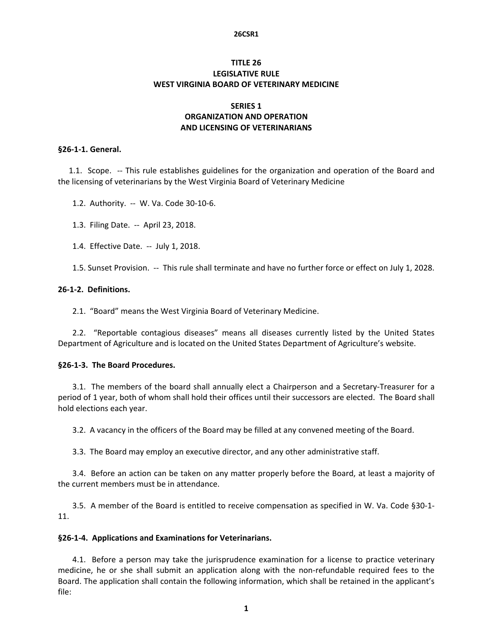#### **26CSR1**

# **TITLE 26 LEGISLATIVE RULE WEST VIRGINIA BOARD OF VETERINARY MEDICINE**

# **SERIES 1 ORGANIZATION AND OPERATION AND LICENSING OF VETERINARIANS**

#### **§26‐1‐1. General.**

1.1. Scope. -- This rule establishes guidelines for the organization and operation of the Board and the licensing of veterinarians by the West Virginia Board of Veterinary Medicine

1.2. Authority. -- W. Va. Code 30-10-6.

1.3. Filing Date. ‐‐ April 23, 2018.

1.4. Effective Date. ‐‐ July 1, 2018.

1.5. Sunset Provision. ‐‐ This rule shall terminate and have no further force or effect on July 1, 2028.

## **26‐1‐2. Definitions.**

2.1. "Board" means the West Virginia Board of Veterinary Medicine.

2.2. "Reportable contagious diseases" means all diseases currently listed by the United States Department of Agriculture and is located on the United States Department of Agriculture's website.

### **§26‐1‐3. The Board Procedures.**

3.1. The members of the board shall annually elect a Chairperson and a Secretary‐Treasurer for a period of 1 year, both of whom shall hold their offices until their successors are elected. The Board shall hold elections each year.

3.2. A vacancy in the officers of the Board may be filled at any convened meeting of the Board.

3.3. The Board may employ an executive director, and any other administrative staff.

3.4. Before an action can be taken on any matter properly before the Board, at least a majority of the current members must be in attendance.

3.5. A member of the Board is entitled to receive compensation as specified in W. Va. Code §30‐1‐ 11.

### **§26‐1‐4. Applications and Examinations for Veterinarians.**

4.1. Before a person may take the jurisprudence examination for a license to practice veterinary medicine, he or she shall submit an application along with the non-refundable required fees to the Board. The application shall contain the following information, which shall be retained in the applicant's file: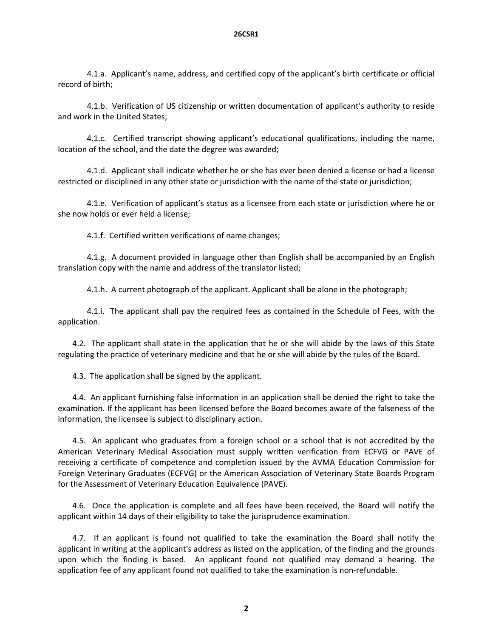4.1.a. Applicant's name, address, and certified copy of the applicant's birth certificate or official record of birth;

 4.1.b. Verification of US citizenship or written documentation of applicant's authority to reside and work in the United States;

4.1.c. Certified transcript showing applicant's educational qualifications, including the name, location of the school, and the date the degree was awarded;

 4.1.d. Applicant shall indicate whether he or she has ever been denied a license or had a license restricted or disciplined in any other state or jurisdiction with the name of the state or jurisdiction;

 4.1.e. Verification of applicant's status as a licensee from each state or jurisdiction where he or she now holds or ever held a license;

4.1.f. Certified written verifications of name changes;

 4.1.g. A document provided in language other than English shall be accompanied by an English translation copy with the name and address of the translator listed;

4.1.h. A current photograph of the applicant. Applicant shall be alone in the photograph;

 4.1.i. The applicant shall pay the required fees as contained in the Schedule of Fees, with the application.

4.2. The applicant shall state in the application that he or she will abide by the laws of this State regulating the practice of veterinary medicine and that he or she will abide by the rules of the Board.

4.3. The application shall be signed by the applicant.

4.4. An applicant furnishing false information in an application shall be denied the right to take the examination. If the applicant has been licensed before the Board becomes aware of the falseness of the information, the licensee is subject to disciplinary action.

4.5. An applicant who graduates from a foreign school or a school that is not accredited by the American Veterinary Medical Association must supply written verification from ECFVG or PAVE of receiving a certificate of competence and completion issued by the AVMA Education Commission for Foreign Veterinary Graduates (ECFVG) or the American Association of Veterinary State Boards Program for the Assessment of Veterinary Education Equivalence (PAVE).

4.6. Once the application is complete and all fees have been received, the Board will notify the applicant within 14 days of their eligibility to take the jurisprudence examination.

4.7. If an applicant is found not qualified to take the examination the Board shall notify the applicant in writing at the applicant's address as listed on the application, of the finding and the grounds upon which the finding is based. An applicant found not qualified may demand a hearing. The application fee of any applicant found not qualified to take the examination is non-refundable.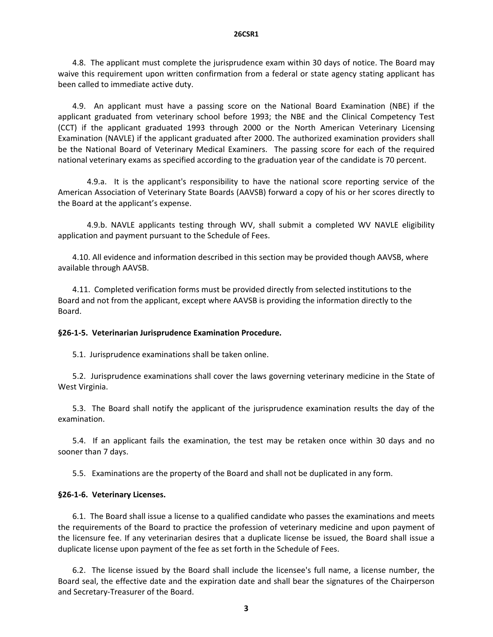4.8. The applicant must complete the jurisprudence exam within 30 days of notice. The Board may waive this requirement upon written confirmation from a federal or state agency stating applicant has been called to immediate active duty.

4.9. An applicant must have a passing score on the National Board Examination (NBE) if the applicant graduated from veterinary school before 1993; the NBE and the Clinical Competency Test (CCT) if the applicant graduated 1993 through 2000 or the North American Veterinary Licensing Examination (NAVLE) if the applicant graduated after 2000. The authorized examination providers shall be the National Board of Veterinary Medical Examiners. The passing score for each of the required national veterinary exams as specified according to the graduation year of the candidate is 70 percent.

4.9.a. It is the applicant's responsibility to have the national score reporting service of the American Association of Veterinary State Boards (AAVSB) forward a copy of his or her scores directly to the Board at the applicant's expense.

 4.9.b. NAVLE applicants testing through WV, shall submit a completed WV NAVLE eligibility application and payment pursuant to the Schedule of Fees.

4.10. All evidence and information described in this section may be provided though AAVSB, where available through AAVSB.

4.11. Completed verification forms must be provided directly from selected institutions to the Board and not from the applicant, except where AAVSB is providing the information directly to the Board.

### **§26‐1‐5. Veterinarian Jurisprudence Examination Procedure.**

5.1. Jurisprudence examinations shall be taken online.

5.2. Jurisprudence examinations shall cover the laws governing veterinary medicine in the State of West Virginia.

5.3. The Board shall notify the applicant of the jurisprudence examination results the day of the examination.

5.4. If an applicant fails the examination, the test may be retaken once within 30 days and no sooner than 7 days.

5.5. Examinations are the property of the Board and shall not be duplicated in any form.

### **§26‐1‐6. Veterinary Licenses.**

6.1. The Board shall issue a license to a qualified candidate who passes the examinations and meets the requirements of the Board to practice the profession of veterinary medicine and upon payment of the licensure fee. If any veterinarian desires that a duplicate license be issued, the Board shall issue a duplicate license upon payment of the fee as set forth in the Schedule of Fees.

6.2. The license issued by the Board shall include the licensee's full name, a license number, the Board seal, the effective date and the expiration date and shall bear the signatures of the Chairperson and Secretary‐Treasurer of the Board.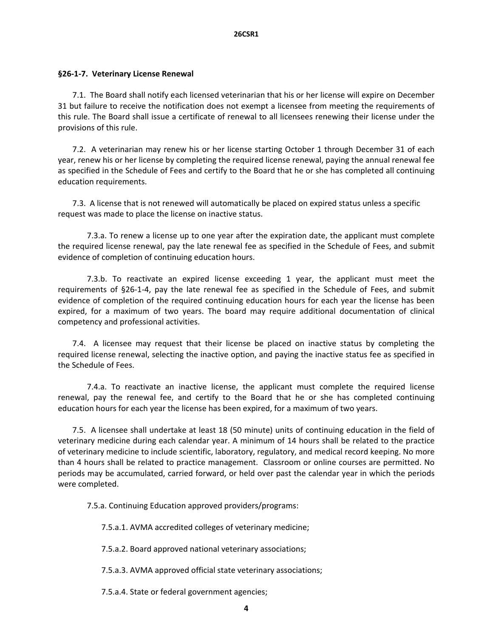## **§26‐1‐7. Veterinary License Renewal**

7.1. The Board shall notify each licensed veterinarian that his or her license will expire on December 31 but failure to receive the notification does not exempt a licensee from meeting the requirements of this rule. The Board shall issue a certificate of renewal to all licensees renewing their license under the provisions of this rule.

7.2. A veterinarian may renew his or her license starting October 1 through December 31 of each year, renew his or her license by completing the required license renewal, paying the annual renewal fee as specified in the Schedule of Fees and certify to the Board that he or she has completed all continuing education requirements.

7.3. A license that is not renewed will automatically be placed on expired status unless a specific request was made to place the license on inactive status.

7.3.a. To renew a license up to one year after the expiration date, the applicant must complete the required license renewal, pay the late renewal fee as specified in the Schedule of Fees, and submit evidence of completion of continuing education hours.

 7.3.b. To reactivate an expired license exceeding 1 year, the applicant must meet the requirements of §26‐1‐4, pay the late renewal fee as specified in the Schedule of Fees, and submit evidence of completion of the required continuing education hours for each year the license has been expired, for a maximum of two years. The board may require additional documentation of clinical competency and professional activities.

7.4. A licensee may request that their license be placed on inactive status by completing the required license renewal, selecting the inactive option, and paying the inactive status fee as specified in the Schedule of Fees.

 7.4.a. To reactivate an inactive license, the applicant must complete the required license renewal, pay the renewal fee, and certify to the Board that he or she has completed continuing education hours for each year the license has been expired, for a maximum of two years.

7.5. A licensee shall undertake at least 18 (50 minute) units of continuing education in the field of veterinary medicine during each calendar year. A minimum of 14 hours shall be related to the practice of veterinary medicine to include scientific, laboratory, regulatory, and medical record keeping. No more than 4 hours shall be related to practice management. Classroom or online courses are permitted. No periods may be accumulated, carried forward, or held over past the calendar year in which the periods were completed.

7.5.a. Continuing Education approved providers/programs:

7.5.a.1. AVMA accredited colleges of veterinary medicine;

7.5.a.2. Board approved national veterinary associations;

7.5.a.3. AVMA approved official state veterinary associations;

7.5.a.4. State or federal government agencies;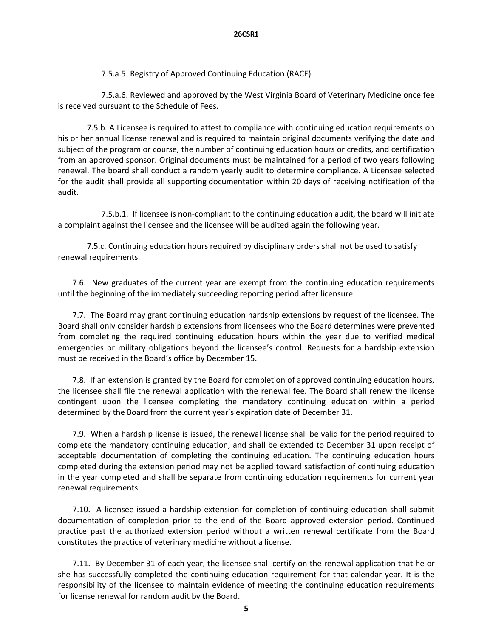7.5.a.5. Registry of Approved Continuing Education (RACE)

 7.5.a.6. Reviewed and approved by the West Virginia Board of Veterinary Medicine once fee is received pursuant to the Schedule of Fees.

 7.5.b. A Licensee is required to attest to compliance with continuing education requirements on his or her annual license renewal and is required to maintain original documents verifying the date and subject of the program or course, the number of continuing education hours or credits, and certification from an approved sponsor. Original documents must be maintained for a period of two years following renewal. The board shall conduct a random yearly audit to determine compliance. A Licensee selected for the audit shall provide all supporting documentation within 20 days of receiving notification of the audit.

 7.5.b.1. If licensee is non‐compliant to the continuing education audit, the board will initiate a complaint against the licensee and the licensee will be audited again the following year.

7.5.c. Continuing education hours required by disciplinary orders shall not be used to satisfy renewal requirements.

7.6. New graduates of the current year are exempt from the continuing education requirements until the beginning of the immediately succeeding reporting period after licensure.

7.7. The Board may grant continuing education hardship extensions by request of the licensee. The Board shall only consider hardship extensions from licensees who the Board determines were prevented from completing the required continuing education hours within the year due to verified medical emergencies or military obligations beyond the licensee's control. Requests for a hardship extension must be received in the Board's office by December 15.

7.8. If an extension is granted by the Board for completion of approved continuing education hours, the licensee shall file the renewal application with the renewal fee. The Board shall renew the license contingent upon the licensee completing the mandatory continuing education within a period determined by the Board from the current year's expiration date of December 31.

7.9. When a hardship license is issued, the renewal license shall be valid for the period required to complete the mandatory continuing education, and shall be extended to December 31 upon receipt of acceptable documentation of completing the continuing education. The continuing education hours completed during the extension period may not be applied toward satisfaction of continuing education in the year completed and shall be separate from continuing education requirements for current year renewal requirements.

7.10. A licensee issued a hardship extension for completion of continuing education shall submit documentation of completion prior to the end of the Board approved extension period. Continued practice past the authorized extension period without a written renewal certificate from the Board constitutes the practice of veterinary medicine without a license.

7.11. By December 31 of each year, the licensee shall certify on the renewal application that he or she has successfully completed the continuing education requirement for that calendar year. It is the responsibility of the licensee to maintain evidence of meeting the continuing education requirements for license renewal for random audit by the Board.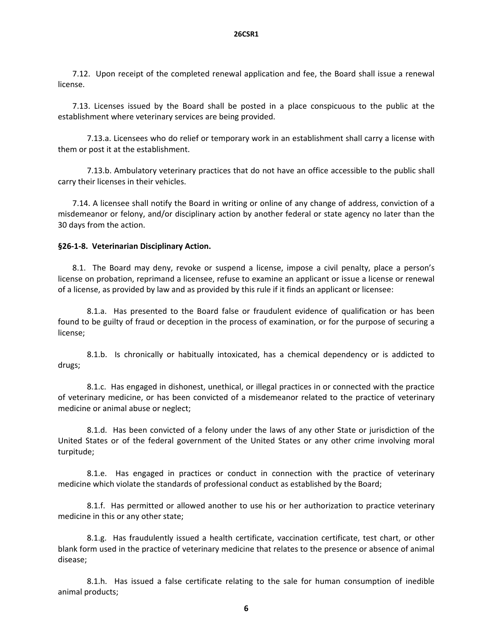7.12. Upon receipt of the completed renewal application and fee, the Board shall issue a renewal license.

7.13. Licenses issued by the Board shall be posted in a place conspicuous to the public at the establishment where veterinary services are being provided.

 7.13.a. Licensees who do relief or temporary work in an establishment shall carry a license with them or post it at the establishment.

 7.13.b. Ambulatory veterinary practices that do not have an office accessible to the public shall carry their licenses in their vehicles.

7.14. A licensee shall notify the Board in writing or online of any change of address, conviction of a misdemeanor or felony, and/or disciplinary action by another federal or state agency no later than the 30 days from the action.

### **§26‐1‐8. Veterinarian Disciplinary Action.**

8.1. The Board may deny, revoke or suspend a license, impose a civil penalty, place a person's license on probation, reprimand a licensee, refuse to examine an applicant or issue a license or renewal of a license, as provided by law and as provided by this rule if it finds an applicant or licensee:

8.1.a. Has presented to the Board false or fraudulent evidence of qualification or has been found to be guilty of fraud or deception in the process of examination, or for the purpose of securing a license;

8.1.b. Is chronically or habitually intoxicated, has a chemical dependency or is addicted to drugs;

 8.1.c. Has engaged in dishonest, unethical, or illegal practices in or connected with the practice of veterinary medicine, or has been convicted of a misdemeanor related to the practice of veterinary medicine or animal abuse or neglect;

 8.1.d. Has been convicted of a felony under the laws of any other State or jurisdiction of the United States or of the federal government of the United States or any other crime involving moral turpitude;

8.1.e. Has engaged in practices or conduct in connection with the practice of veterinary medicine which violate the standards of professional conduct as established by the Board;

 8.1.f. Has permitted or allowed another to use his or her authorization to practice veterinary medicine in this or any other state;

 8.1.g. Has fraudulently issued a health certificate, vaccination certificate, test chart, or other blank form used in the practice of veterinary medicine that relates to the presence or absence of animal disease;

8.1.h. Has issued a false certificate relating to the sale for human consumption of inedible animal products;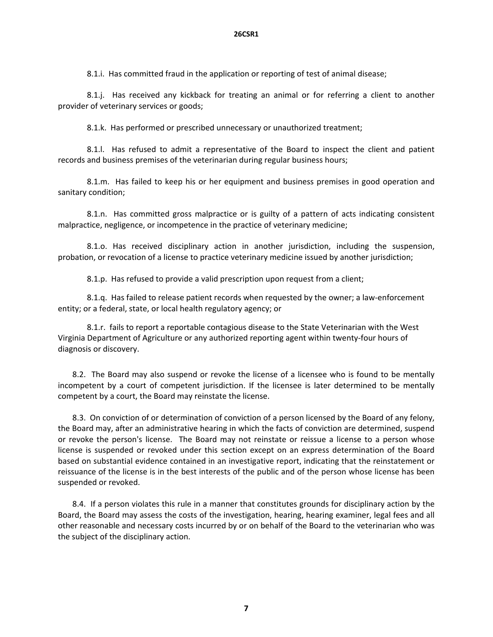8.1.i. Has committed fraud in the application or reporting of test of animal disease;

 8.1.j. Has received any kickback for treating an animal or for referring a client to another provider of veterinary services or goods;

8.1.k. Has performed or prescribed unnecessary or unauthorized treatment;

8.1.. Has refused to admit a representative of the Board to inspect the client and patient records and business premises of the veterinarian during regular business hours;

 8.1.m. Has failed to keep his or her equipment and business premises in good operation and sanitary condition;

 8.1.n. Has committed gross malpractice or is guilty of a pattern of acts indicating consistent malpractice, negligence, or incompetence in the practice of veterinary medicine;

 8.1.o. Has received disciplinary action in another jurisdiction, including the suspension, probation, or revocation of a license to practice veterinary medicine issued by another jurisdiction;

8.1.p. Has refused to provide a valid prescription upon request from a client;

8.1.q. Has failed to release patient records when requested by the owner; a law-enforcement entity; or a federal, state, or local health regulatory agency; or

8.1.r. fails to report a reportable contagious disease to the State Veterinarian with the West Virginia Department of Agriculture or any authorized reporting agent within twenty‐four hours of diagnosis or discovery.

8.2. The Board may also suspend or revoke the license of a licensee who is found to be mentally incompetent by a court of competent jurisdiction. If the licensee is later determined to be mentally competent by a court, the Board may reinstate the license.

8.3. On conviction of or determination of conviction of a person licensed by the Board of any felony, the Board may, after an administrative hearing in which the facts of conviction are determined, suspend or revoke the person's license. The Board may not reinstate or reissue a license to a person whose license is suspended or revoked under this section except on an express determination of the Board based on substantial evidence contained in an investigative report, indicating that the reinstatement or reissuance of the license is in the best interests of the public and of the person whose license has been suspended or revoked.

8.4. If a person violates this rule in a manner that constitutes grounds for disciplinary action by the Board, the Board may assess the costs of the investigation, hearing, hearing examiner, legal fees and all other reasonable and necessary costs incurred by or on behalf of the Board to the veterinarian who was the subject of the disciplinary action.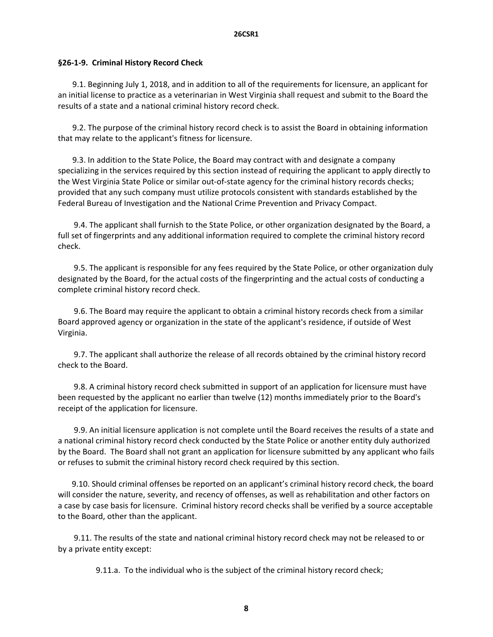#### **§26‐1‐9. Criminal History Record Check**

9.1. Beginning July 1, 2018, and in addition to all of the requirements for licensure, an applicant for an initial license to practice as a veterinarian in West Virginia shall request and submit to the Board the results of a state and a national criminal history record check.

 9.2. The purpose of the criminal history record check is to assist the Board in obtaining information that may relate to the applicant's fitness for licensure.

 9.3. In addition to the State Police, the Board may contract with and designate a company specializing in the services required by this section instead of requiring the applicant to apply directly to the West Virginia State Police or similar out‐of‐state agency for the criminal history records checks; provided that any such company must utilize protocols consistent with standards established by the Federal Bureau of Investigation and the National Crime Prevention and Privacy Compact.

 9.4. The applicant shall furnish to the State Police, or other organization designated by the Board, a full set of fingerprints and any additional information required to complete the criminal history record check.

 9.5. The applicant is responsible for any fees required by the State Police, or other organization duly designated by the Board, for the actual costs of the fingerprinting and the actual costs of conducting a complete criminal history record check.

 9.6. The Board may require the applicant to obtain a criminal history records check from a similar Board approved agency or organization in the state of the applicant's residence, if outside of West Virginia.

 9.7. The applicant shall authorize the release of all records obtained by the criminal history record check to the Board.

 9.8. A criminal history record check submitted in support of an application for licensure must have been requested by the applicant no earlier than twelve (12) months immediately prior to the Board's receipt of the application for licensure.

 9.9. An initial licensure application is not complete until the Board receives the results of a state and a national criminal history record check conducted by the State Police or another entity duly authorized by the Board. The Board shall not grant an application for licensure submitted by any applicant who fails or refuses to submit the criminal history record check required by this section.

 9.10. Should criminal offenses be reported on an applicant's criminal history record check, the board will consider the nature, severity, and recency of offenses, as well as rehabilitation and other factors on a case by case basis for licensure. Criminal history record checks shall be verified by a source acceptable to the Board, other than the applicant.

 9.11. The results of the state and national criminal history record check may not be released to or by a private entity except:

9.11.a. To the individual who is the subject of the criminal history record check;